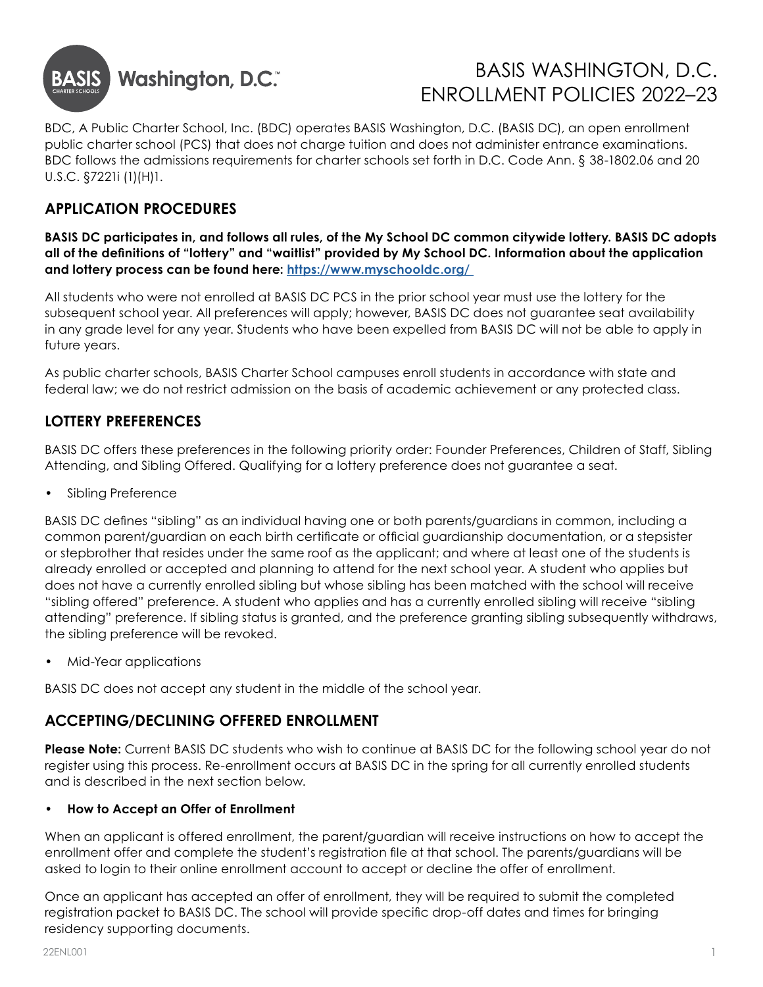

# BASIS WASHINGTON, D.C. ENROLLMENT POLICIES 2022–23

BDC, A Public Charter School, Inc. (BDC) operates BASIS Washington, D.C. (BASIS DC), an open enrollment public charter school (PCS) that does not charge tuition and does not administer entrance examinations. BDC follows the admissions requirements for charter schools set forth in D.C. Code Ann. § 38-1802.06 and 20 U.S.C. §7221i (1)(H)1.

## **APPLICATION PROCEDURES**

**BASIS DC participates in, and follows all rules, of the My School DC common citywide lottery. BASIS DC adopts all of the definitions of "lottery" and "waitlist" provided by My School DC. Information about the application and lottery process can be found here: [https://www.myschooldc.org/](https://www.myschooldc.org/ )** 

All students who were not enrolled at BASIS DC PCS in the prior school year must use the lottery for the subsequent school year. All preferences will apply; however, BASIS DC does not guarantee seat availability in any grade level for any year. Students who have been expelled from BASIS DC will not be able to apply in future years.

As public charter schools, BASIS Charter School campuses enroll students in accordance with state and federal law; we do not restrict admission on the basis of academic achievement or any protected class.

#### **LOTTERY PREFERENCES**

BASIS DC offers these preferences in the following priority order: Founder Preferences, Children of Staff, Sibling Attending, and Sibling Offered. Qualifying for a lottery preference does not guarantee a seat.

• Sibling Preference

BASIS DC defines "sibling" as an individual having one or both parents/guardians in common, including a common parent/guardian on each birth certificate or official guardianship documentation, or a stepsister or stepbrother that resides under the same roof as the applicant; and where at least one of the students is already enrolled or accepted and planning to attend for the next school year. A student who applies but does not have a currently enrolled sibling but whose sibling has been matched with the school will receive "sibling offered" preference. A student who applies and has a currently enrolled sibling will receive "sibling attending" preference. If sibling status is granted, and the preference granting sibling subsequently withdraws, the sibling preference will be revoked.

• Mid-Year applications

BASIS DC does not accept any student in the middle of the school year.

#### **ACCEPTING/DECLINING OFFERED ENROLLMENT**

**Please Note:** Current BASIS DC students who wish to continue at BASIS DC for the following school year do not register using this process. Re-enrollment occurs at BASIS DC in the spring for all currently enrolled students and is described in the next section below.

#### **• How to Accept an Offer of Enrollment**

When an applicant is offered enrollment, the parent/guardian will receive instructions on how to accept the enrollment offer and complete the student's registration file at that school. The parents/guardians will be asked to login to their online enrollment account to accept or decline the offer of enrollment.

Once an applicant has accepted an offer of enrollment, they will be required to submit the completed registration packet to BASIS DC. The school will provide specific drop-off dates and times for bringing residency supporting documents.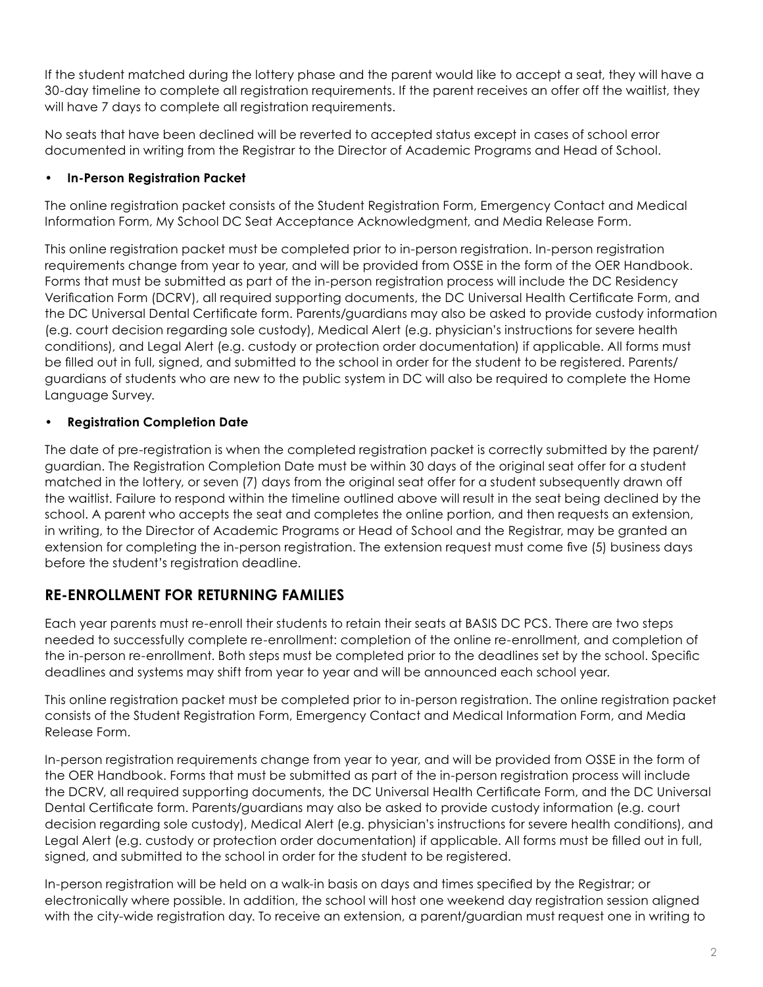If the student matched during the lottery phase and the parent would like to accept a seat, they will have a 30-day timeline to complete all registration requirements. If the parent receives an offer off the waitlist, they will have 7 days to complete all registration requirements.

No seats that have been declined will be reverted to accepted status except in cases of school error documented in writing from the Registrar to the Director of Academic Programs and Head of School.

#### **• In-Person Registration Packet**

The online registration packet consists of the Student Registration Form, Emergency Contact and Medical Information Form, My School DC Seat Acceptance Acknowledgment, and Media Release Form.

This online registration packet must be completed prior to in-person registration. In-person registration requirements change from year to year, and will be provided from OSSE in the form of the OER Handbook. Forms that must be submitted as part of the in-person registration process will include the DC Residency Verification Form (DCRV), all required supporting documents, the DC Universal Health Certificate Form, and the DC Universal Dental Certificate form. Parents/guardians may also be asked to provide custody information (e.g. court decision regarding sole custody), Medical Alert (e.g. physician's instructions for severe health conditions), and Legal Alert (e.g. custody or protection order documentation) if applicable. All forms must be filled out in full, signed, and submitted to the school in order for the student to be registered. Parents/ guardians of students who are new to the public system in DC will also be required to complete the Home Language Survey.

#### **• Registration Completion Date**

The date of pre-registration is when the completed registration packet is correctly submitted by the parent/ guardian. The Registration Completion Date must be within 30 days of the original seat offer for a student matched in the lottery, or seven (7) days from the original seat offer for a student subsequently drawn off the waitlist. Failure to respond within the timeline outlined above will result in the seat being declined by the school. A parent who accepts the seat and completes the online portion, and then requests an extension, in writing, to the Director of Academic Programs or Head of School and the Registrar, may be granted an extension for completing the in-person registration. The extension request must come five (5) business days before the student's registration deadline.

### **RE-ENROLLMENT FOR RETURNING FAMILIES**

Each year parents must re-enroll their students to retain their seats at BASIS DC PCS. There are two steps needed to successfully complete re-enrollment: completion of the online re-enrollment, and completion of the in-person re-enrollment. Both steps must be completed prior to the deadlines set by the school. Specific deadlines and systems may shift from year to year and will be announced each school year.

This online registration packet must be completed prior to in-person registration. The online registration packet consists of the Student Registration Form, Emergency Contact and Medical Information Form, and Media Release Form.

In-person registration requirements change from year to year, and will be provided from OSSE in the form of the OER Handbook. Forms that must be submitted as part of the in-person registration process will include the DCRV, all required supporting documents, the DC Universal Health Certificate Form, and the DC Universal Dental Certificate form. Parents/guardians may also be asked to provide custody information (e.g. court decision regarding sole custody), Medical Alert (e.g. physician's instructions for severe health conditions), and Legal Alert (e.g. custody or protection order documentation) if applicable. All forms must be filled out in full, signed, and submitted to the school in order for the student to be registered.

In-person registration will be held on a walk-in basis on days and times specified by the Registrar; or electronically where possible. In addition, the school will host one weekend day registration session aligned with the city-wide registration day. To receive an extension, a parent/guardian must request one in writing to